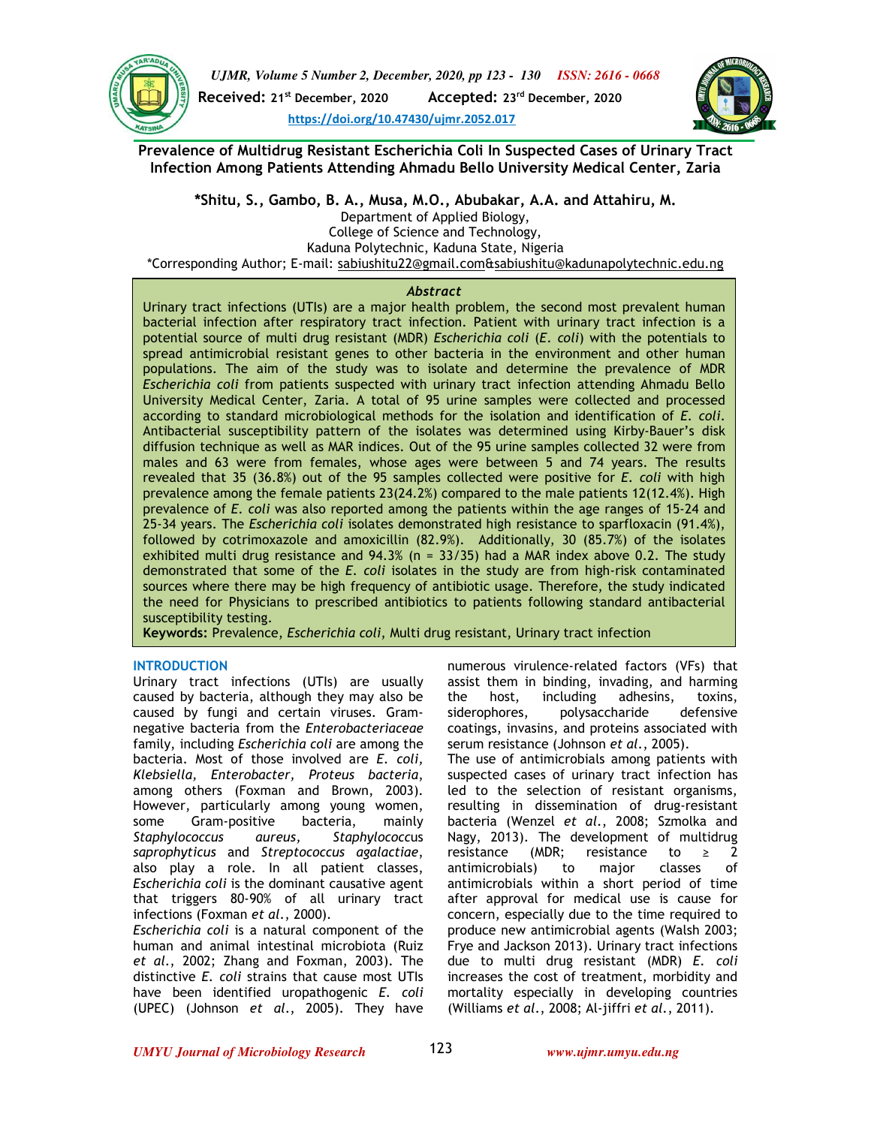



**Prevalence of Multidrug Resistant Escherichia Coli In Suspected Cases of Urinary Tract Infection Among Patients Attending Ahmadu Bello University Medical Center, Zaria** 

**\*Shitu, S., Gambo, B. A., Musa, M.O., Abubakar, A.A. and Attahiru, M.**  Department of Applied Biology, College of Science and Technology, Kaduna Polytechnic, Kaduna State, Nigeria

\*Corresponding Author; E-mail: sabiushitu22@gmail.com&sabiushitu@kadunapolytechnic.edu.ng

# *Abstract*

Urinary tract infections (UTIs) are a major health problem, the second most prevalent human bacterial infection after respiratory tract infection. Patient with urinary tract infection is a potential source of multi drug resistant (MDR) *Escherichia coli* (*E*. *coli*) with the potentials to spread antimicrobial resistant genes to other bacteria in the environment and other human populations. The aim of the study was to isolate and determine the prevalence of MDR *Escherichia coli* from patients suspected with urinary tract infection attending Ahmadu Bello University Medical Center, Zaria. A total of 95 urine samples were collected and processed according to standard microbiological methods for the isolation and identification of *E*. *coli*. Antibacterial susceptibility pattern of the isolates was determined using Kirby-Bauer's disk diffusion technique as well as MAR indices. Out of the 95 urine samples collected 32 were from males and 63 were from females, whose ages were between 5 and 74 years. The results revealed that 35 (36.8%) out of the 95 samples collected were positive for *E. coli* with high prevalence among the female patients 23(24.2%) compared to the male patients 12(12.4%). High prevalence of *E*. *coli* was also reported among the patients within the age ranges of 15-24 and 25-34 years. The *Escherichia coli* isolates demonstrated high resistance to sparfloxacin (91.4%), followed by cotrimoxazole and amoxicillin (82.9%). Additionally, 30 (85.7%) of the isolates exhibited multi drug resistance and 94.3% (n = 33/35) had a MAR index above 0.2. The study demonstrated that some of the *E*. *coli* isolates in the study are from high-risk contaminated sources where there may be high frequency of antibiotic usage. Therefore, the study indicated the need for Physicians to prescribed antibiotics to patients following standard antibacterial susceptibility testing.

**Keywords:** Prevalence, *Escherichia coli*, Multi drug resistant, Urinary tract infection

# **INTRODUCTION**

Urinary tract infections (UTIs) are usually caused by bacteria, although they may also be caused by fungi and certain viruses. Gramnegative bacteria from the *Enterobacteriaceae* family, including *Escherichia coli* are among the bacteria. Most of those involved are *E. coli, Klebsiella, Enterobacter, Proteus bacteria*, among others (Foxman and Brown, 2003). However, particularly among young women, some Gram-positive bacteria, mainly *Staphylococcus aureus, Staphylococc*us *saprophyticus* and *Streptococcus agalactiae*, also play a role. In all patient classes, *Escherichia coli* is the dominant causative agent that triggers 80-90% of all urinary tract infections (Foxman *et al*., 2000).

*Escherichia coli* is a natural component of the human and animal intestinal microbiota (Ruiz *et al*., 2002; Zhang and Foxman, 2003). The distinctive *E. coli* strains that cause most UTIs have been identified uropathogenic *E. coli* (UPEC) (Johnson *et al*., 2005). They have numerous virulence-related factors (VFs) that assist them in binding, invading, and harming the host, including adhesins, toxins, siderophores, polysaccharide defensive coatings, invasins, and proteins associated with serum resistance (Johnson *et al*., 2005).

The use of antimicrobials among patients with suspected cases of urinary tract infection has led to the selection of resistant organisms, resulting in dissemination of drug-resistant bacteria (Wenzel *et al*., 2008; Szmolka and Nagy, 2013). The development of multidrug resistance (MDR; resistance to  $\geq$  2 antimicrobials) to major classes of antimicrobials within a short period of time after approval for medical use is cause for concern, especially due to the time required to produce new antimicrobial agents (Walsh 2003; Frye and Jackson 2013). Urinary tract infections due to multi drug resistant (MDR) *E. coli*  increases the cost of treatment, morbidity and mortality especially in developing countries (Williams *et al*., 2008; Al-jiffri *et al*., 2011).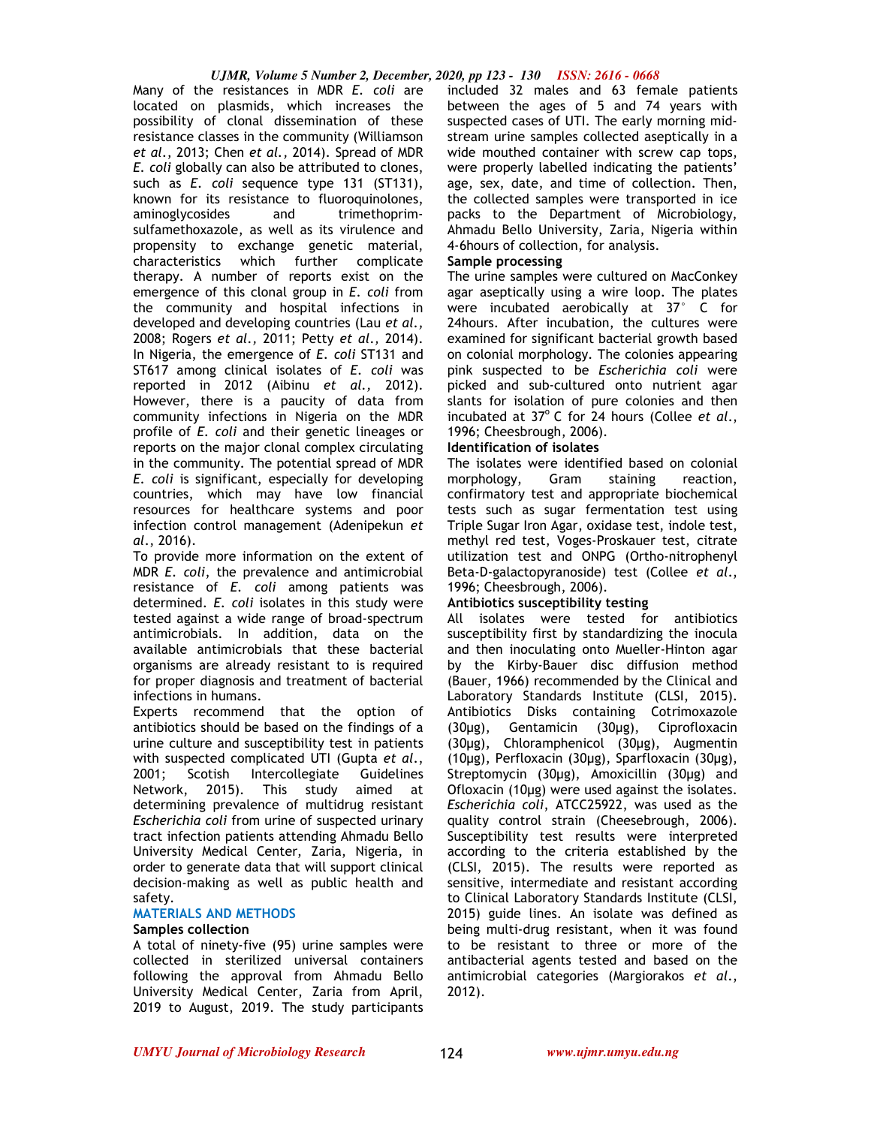Many of the resistances in MDR *E. coli* are located on plasmids, which increases the possibility of clonal dissemination of these resistance classes in the community (Williamson *et al*., 2013; Chen *et al.,* 2014). Spread of MDR *E. coli* globally can also be attributed to clones, such as *E. coli* sequence type 131 (ST131), known for its resistance to fluoroquinolones, aminoglycosides and trimethoprimsulfamethoxazole, as well as its virulence and propensity to exchange genetic material, characteristics which further complicate therapy. A number of reports exist on the emergence of this clonal group in *E. coli* from the community and hospital infections in developed and developing countries (Lau *et al.,*  2008; Rogers *et al.,* 2011; Petty *et al*.*,* 2014). In Nigeria, the emergence of *E. coli* ST131 and ST617 among clinical isolates of *E. coli* was reported in 2012 (Aibinu *et al.,* 2012). However, there is a paucity of data from community infections in Nigeria on the MDR profile of *E. coli* and their genetic lineages or reports on the major clonal complex circulating in the community. The potential spread of MDR *E. coli* is significant, especially for developing countries, which may have low financial resources for healthcare systems and poor infection control management (Adenipekun *et al*., 2016).

To provide more information on the extent of MDR *E. coli*, the prevalence and antimicrobial resistance of *E. coli* among patients was determined. *E. coli* isolates in this study were tested against a wide range of broad-spectrum antimicrobials. In addition, data on the available antimicrobials that these bacterial organisms are already resistant to is required for proper diagnosis and treatment of bacterial infections in humans.

Experts recommend that the option of antibiotics should be based on the findings of a urine culture and susceptibility test in patients with suspected complicated UTI (Gupta *et al*., 2001; Scotish Intercollegiate Guidelines<br>Network, 2015). This study aimed at Network, 2015). This study aimed at determining prevalence of multidrug resistant *Escherichia coli* from urine of suspected urinary tract infection patients attending Ahmadu Bello University Medical Center, Zaria, Nigeria, in order to generate data that will support clinical decision-making as well as public health and safety.

## **MATERIALS AND METHODS**

## **Samples collection**

A total of ninety-five (95) urine samples were collected in sterilized universal containers following the approval from Ahmadu Bello University Medical Center, Zaria from April, 2019 to August, 2019. The study participants included 32 males and 63 female patients between the ages of 5 and 74 years with suspected cases of UTI. The early morning midstream urine samples collected aseptically in a wide mouthed container with screw cap tops, were properly labelled indicating the patients' age, sex, date, and time of collection. Then, the collected samples were transported in ice packs to the Department of Microbiology, Ahmadu Bello University, Zaria, Nigeria within 4-6hours of collection, for analysis.

#### **Sample processing**

The urine samples were cultured on MacConkey agar aseptically using a wire loop. The plates were incubated aerobically at 37° C for 24hours. After incubation, the cultures were examined for significant bacterial growth based on colonial morphology. The colonies appearing pink suspected to be *Escherichia coli* were picked and sub-cultured onto nutrient agar slants for isolation of pure colonies and then incubated at 37°C for 24 hours (Collee *et al.*, 1996; Cheesbrough, 2006).

## **Identification of isolates**

The isolates were identified based on colonial<br>morphology, Gram staining reaction.  $morphology,$  Gram staining confirmatory test and appropriate biochemical tests such as sugar fermentation test using Triple Sugar Iron Agar, oxidase test, indole test, methyl red test, Voges-Proskauer test, citrate utilization test and ONPG (Ortho-nitrophenyl Beta-D-galactopyranoside) test (Collee *et al*., 1996; Cheesbrough, 2006).

## **Antibiotics susceptibility testing**

All isolates were tested for antibiotics susceptibility first by standardizing the inocula and then inoculating onto Mueller-Hinton agar by the Kirby-Bauer disc diffusion method (Bauer, 1966) recommended by the Clinical and Laboratory Standards Institute (CLSI, 2015). Antibiotics Disks containing Cotrimoxazole (30µg), Gentamicin (30µg), Ciprofloxacin (30µg), Chloramphenicol (30µg), Augmentin (10µg), Perfloxacin (30µg), Sparfloxacin (30µg), Streptomycin (30µg), Amoxicillin (30µg) and Ofloxacin (10µg) were used against the isolates. *Escherichia coli*, ATCC25922, was used as the quality control strain (Cheesebrough, 2006). Susceptibility test results were interpreted according to the criteria established by the (CLSI, 2015). The results were reported as sensitive, intermediate and resistant according to Clinical Laboratory Standards Institute (CLSI, 2015) guide lines. An isolate was defined as being multi-drug resistant, when it was found to be resistant to three or more of the antibacterial agents tested and based on the antimicrobial categories (Margiorakos *et al*., 2012).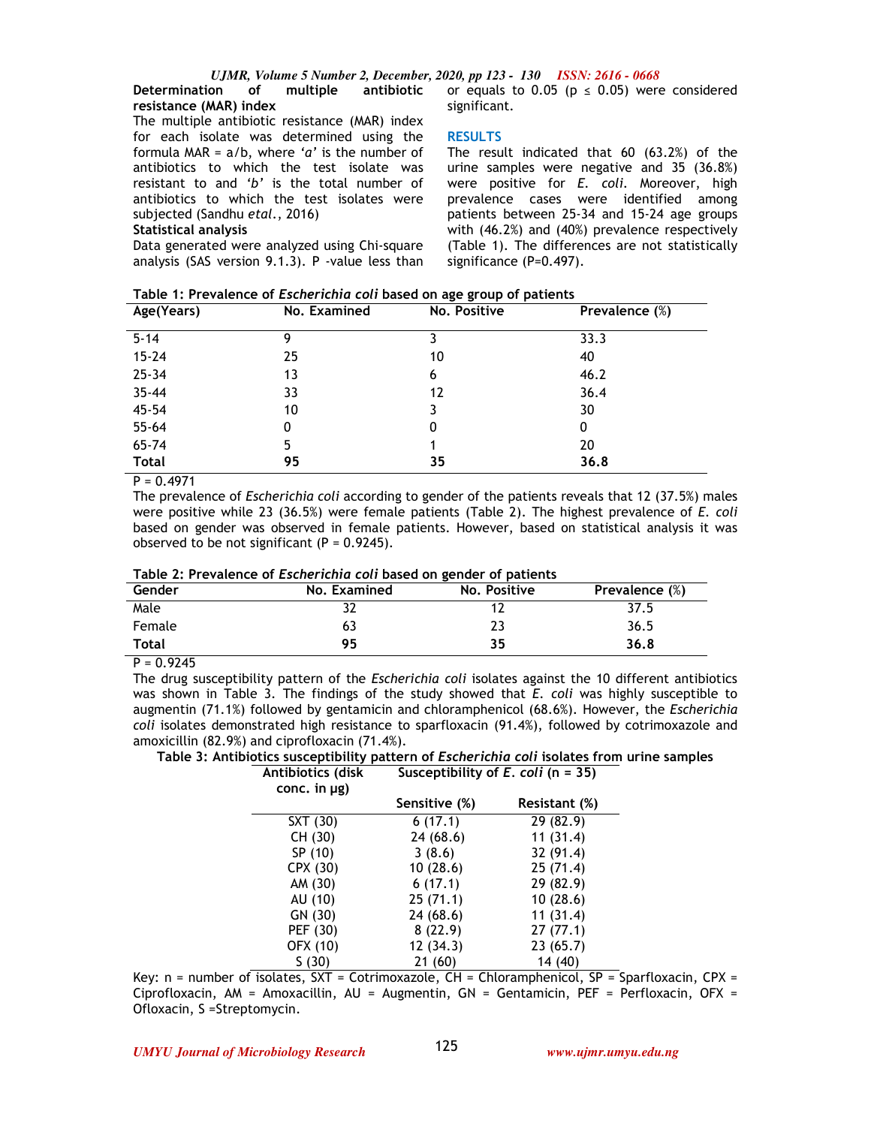# **Determination of multiple antibiotic resistance (MAR) index**

The multiple antibiotic resistance (MAR) index for each isolate was determined using the formula MAR = a/b, where *'a'* is the number of antibiotics to which the test isolate was resistant to and *'b'* is the total number of antibiotics to which the test isolates were subjected (Sandhu *etal*., 2016)

#### **Statistical analysis**

Data generated were analyzed using Chi-square analysis (SAS version 9.1.3). P -value less than or equals to 0.05 ( $p \le 0.05$ ) were considered significant.

## **RESULTS**

The result indicated that 60 (63.2%) of the urine samples were negative and 35 (36.8%) were positive for *E. coli*. Moreover, high prevalence cases were identified among patients between 25-34 and 15-24 age groups with (46.2%) and (40%) prevalence respectively (Table 1). The differences are not statistically significance (P=0.497).

| Table 1: Prevalence of Escherichia coli based on age group of patients |
|------------------------------------------------------------------------|
|------------------------------------------------------------------------|

| No. Examined | No. Positive | Prevalence (%) |
|--------------|--------------|----------------|
| 9            |              | 33.3           |
| 25           | 10           | 40             |
| 13           | 6            | 46.2           |
| 33           | 12           | 36.4           |
| 10           |              | 30             |
| 0            | 0            | 0              |
| 5            |              | 20             |
| 95           | 35           | 36.8           |
|              |              |                |

 $P = 0.4971$ 

The prevalence of *Escherichia coli* according to gender of the patients reveals that 12 (37.5%) males were positive while 23 (36.5%) were female patients (Table 2). The highest prevalence of *E. coli* based on gender was observed in female patients. However, based on statistical analysis it was observed to be not significant  $(P = 0.9245)$ .

## **Table 2: Prevalence of** *Escherichia coli* **based on gender of patients**

| Gender       | No. Examined | No. Positive | Prevalence (%) |
|--------------|--------------|--------------|----------------|
| Male         |              |              | 37.5           |
| Female       | 63           |              | 36.5           |
| <b>Total</b> | 95           | 35           | 36.8           |

 $P = 0.9245$ 

The drug susceptibility pattern of the *Escherichia coli* isolates against the 10 different antibiotics was shown in Table 3. The findings of the study showed that *E. coli* was highly susceptible to augmentin (71.1%) followed by gentamicin and chloramphenicol (68.6%). However, the *Escherichia coli* isolates demonstrated high resistance to sparfloxacin (91.4%), followed by cotrimoxazole and amoxicillin (82.9%) and ciprofloxacin (71.4%).

**Table 3: Antibiotics susceptibility pattern of** *Escherichia coli* **isolates from urine samples Antibiotics (disk Susceptibility of** *E. coli* **(n = 35)**

| <b>AIILIDIOLICS (UISK</b><br>conc. in $\mu$ g) | $SUSC$ dusceptibility of E. COIT (ii = 33) |               |
|------------------------------------------------|--------------------------------------------|---------------|
|                                                | Sensitive (%)                              | Resistant (%) |
| SXT (30)                                       | 6(17.1)                                    | 29 (82.9)     |
| CH (30)                                        | 24 (68.6)                                  | 11(31.4)      |
| SP (10)                                        | 3(8.6)                                     | 32 (91.4)     |
| CPX (30)                                       | 10(28.6)                                   | 25(71.4)      |
| AM (30)                                        | 6(17.1)                                    | 29 (82.9)     |
| AU (10)                                        | 25(71.1)                                   | 10(28.6)      |
| GN (30)                                        | 24 (68.6)                                  | 11(31.4)      |
| PEF (30)                                       | 8(22.9)                                    | 27(77.1)      |
| OFX (10)                                       | 12(34.3)                                   | 23(65.7)      |
| S(30)                                          | 21 (60)                                    | 14 (40)       |

Key:  $n =$  number of isolates,  $SXT =$  Cotrimoxazole,  $CH =$  Chloramphenicol,  $SP =$  Sparfloxacin, CPX = Ciprofloxacin, AM = Amoxacillin, AU = Augmentin, GN = Gentamicin, PEF = Perfloxacin, OFX = Ofloxacin, S =Streptomycin.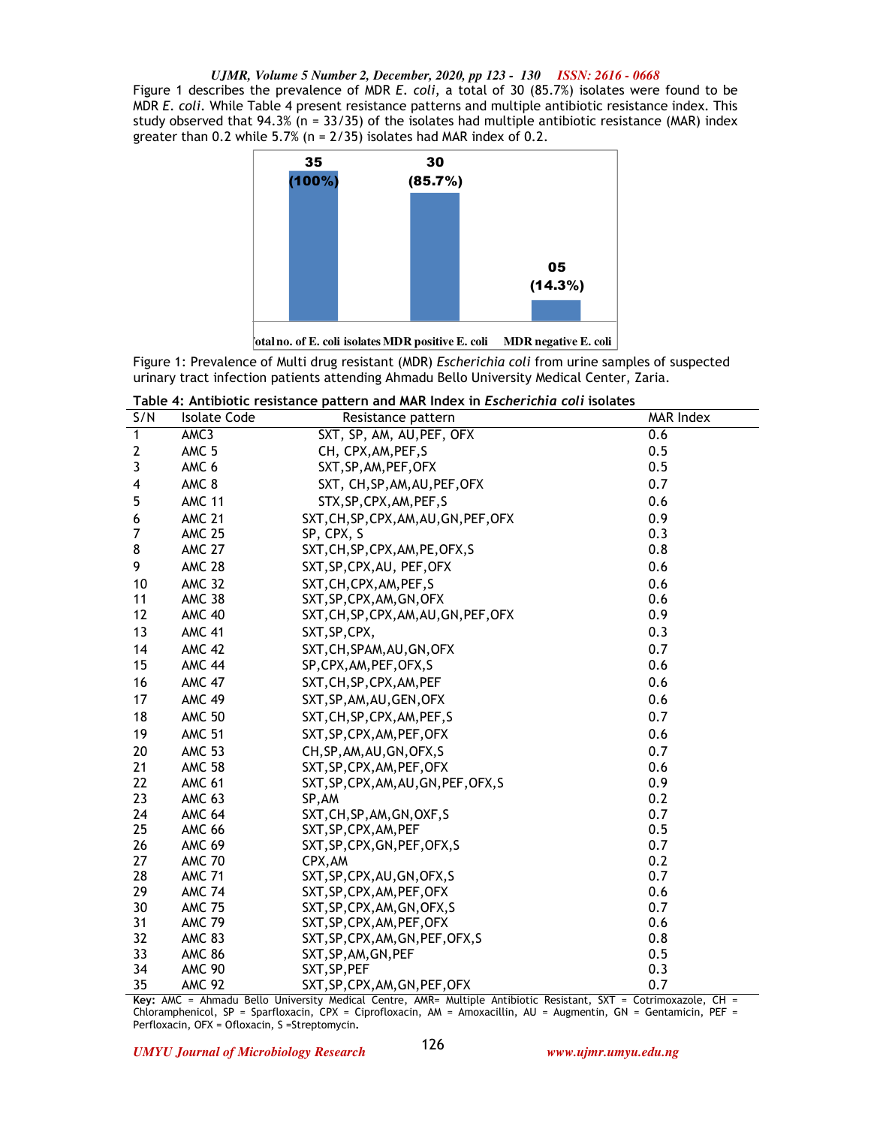*UJMR, Volume 5 Number 2, December, 2020, pp 123 - 130 ISSN: 2616 - 0668* Figure 1 describes the prevalence of MDR *E*. *coli*, a total of 30 (85.7%) isolates were found to be MDR *E*. *coli*. While Table 4 present resistance patterns and multiple antibiotic resistance index. This study observed that  $94.3\%$  (n =  $33/35$ ) of the isolates had multiple antibiotic resistance (MAR) index greater than 0.2 while 5.7% (n = 2/35) isolates had MAR index of 0.2.



**Total no. of E. coli isolates MDR positive E. coli MDR negative E. coli**

Figure 1: Prevalence of Multi drug resistant (MDR) *Escherichia coli* from urine samples of suspected urinary tract infection patients attending Ahmadu Bello University Medical Center, Zaria.

| Table 4: Antibiotic resistance pattern and MAR Index in <i>Escherichia coli</i> isolates |  |
|------------------------------------------------------------------------------------------|--|
|------------------------------------------------------------------------------------------|--|

| S/N          | <b>Isolate Code</b> | Resistance pattern                     | MAR Index |
|--------------|---------------------|----------------------------------------|-----------|
| $\mathbf{1}$ | AMC3                | SXT, SP, AM, AU, PEF, OFX              | 0.6       |
| $\mathbf{2}$ | AMC <sub>5</sub>    | CH, CPX, AM, PEF, S                    | 0.5       |
| 3            | AMC 6               | SXT, SP, AM, PEF, OFX                  | 0.5       |
| 4            | AMC 8               | SXT, CH, SP, AM, AU, PEF, OFX          | 0.7       |
| 5            | <b>AMC 11</b>       | STX, SP, CPX, AM, PEF, S               | 0.6       |
| 6            | <b>AMC 21</b>       | SXT, CH, SP, CPX, AM, AU, GN, PEF, OFX | 0.9       |
| 7            | <b>AMC 25</b>       | SP, CPX, S                             | 0.3       |
| 8            | <b>AMC 27</b>       | SXT, CH, SP, CPX, AM, PE, OFX, S       | 0.8       |
| 9            | <b>AMC 28</b>       | SXT, SP, CPX, AU, PEF, OFX             | 0.6       |
| 10           | <b>AMC 32</b>       | SXT, CH, CPX, AM, PEF, S               | 0.6       |
| 11           | <b>AMC 38</b>       | SXT, SP, CPX, AM, GN, OFX              | 0.6       |
| 12           | <b>AMC 40</b>       | SXT, CH, SP, CPX, AM, AU, GN, PEF, OFX | 0.9       |
| 13           | <b>AMC 41</b>       | SXT, SP, CPX,                          | 0.3       |
| 14           | <b>AMC 42</b>       | SXT, CH, SPAM, AU, GN, OFX             | 0.7       |
| 15           | <b>AMC 44</b>       | SP, CPX, AM, PEF, OFX, S               | 0.6       |
| 16           | <b>AMC 47</b>       | SXT, CH, SP, CPX, AM, PEF              | 0.6       |
| 17           | <b>AMC 49</b>       | SXT, SP, AM, AU, GEN, OFX              | 0.6       |
| 18           | <b>AMC 50</b>       | SXT, CH, SP, CPX, AM, PEF, S           | 0.7       |
| 19           | <b>AMC 51</b>       | SXT, SP, CPX, AM, PEF, OFX             | 0.6       |
| 20           | <b>AMC 53</b>       | CH, SP, AM, AU, GN, OFX, S             | 0.7       |
| 21           | <b>AMC 58</b>       | SXT, SP, CPX, AM, PEF, OFX             | 0.6       |
| 22           | <b>AMC 61</b>       | SXT, SP, CPX, AM, AU, GN, PEF, OFX, S  | 0.9       |
| 23           | <b>AMC 63</b>       | SP, AM                                 | 0.2       |
| 24           | <b>AMC 64</b>       | SXT, CH, SP, AM, GN, OXF, S            | 0.7       |
| 25           | <b>AMC 66</b>       | SXT, SP, CPX, AM, PEF                  | 0.5       |
| 26           | <b>AMC 69</b>       | SXT, SP, CPX, GN, PEF, OFX, S          | 0.7       |
| 27           | <b>AMC 70</b>       | CPX, AM                                | 0.2       |
| 28           | <b>AMC 71</b>       | SXT, SP, CPX, AU, GN, OFX, S           | 0.7       |
| 29           | <b>AMC 74</b>       | SXT, SP, CPX, AM, PEF, OFX             | 0.6       |
| 30           | <b>AMC 75</b>       | SXT, SP, CPX, AM, GN, OFX, S           | 0.7       |
| 31           | <b>AMC 79</b>       | SXT, SP, CPX, AM, PEF, OFX             | 0.6       |
| 32           | <b>AMC 83</b>       | SXT, SP, CPX, AM, GN, PEF, OFX, S      | 0.8       |
| 33           | <b>AMC 86</b>       | SXT, SP, AM, GN, PEF                   | 0.5       |
| 34           | <b>AMC 90</b>       | SXT, SP, PEF                           | 0.3       |
| 35           | <b>AMC 92</b>       | SXT, SP, CPX, AM, GN, PEF, OFX         | 0.7       |

**Key:** AMC = Ahmadu Bello University Medical Centre, AMR= Multiple Antibiotic Resistant, SXT = Cotrimoxazole, CH = Chloramphenicol, SP = Sparfloxacin, CPX = Ciprofloxacin, AM = Amoxacillin, AU = Augmentin, GN = Gentamicin, PEF = Perfloxacin, OFX = Ofloxacin, S =Streptomycin**.**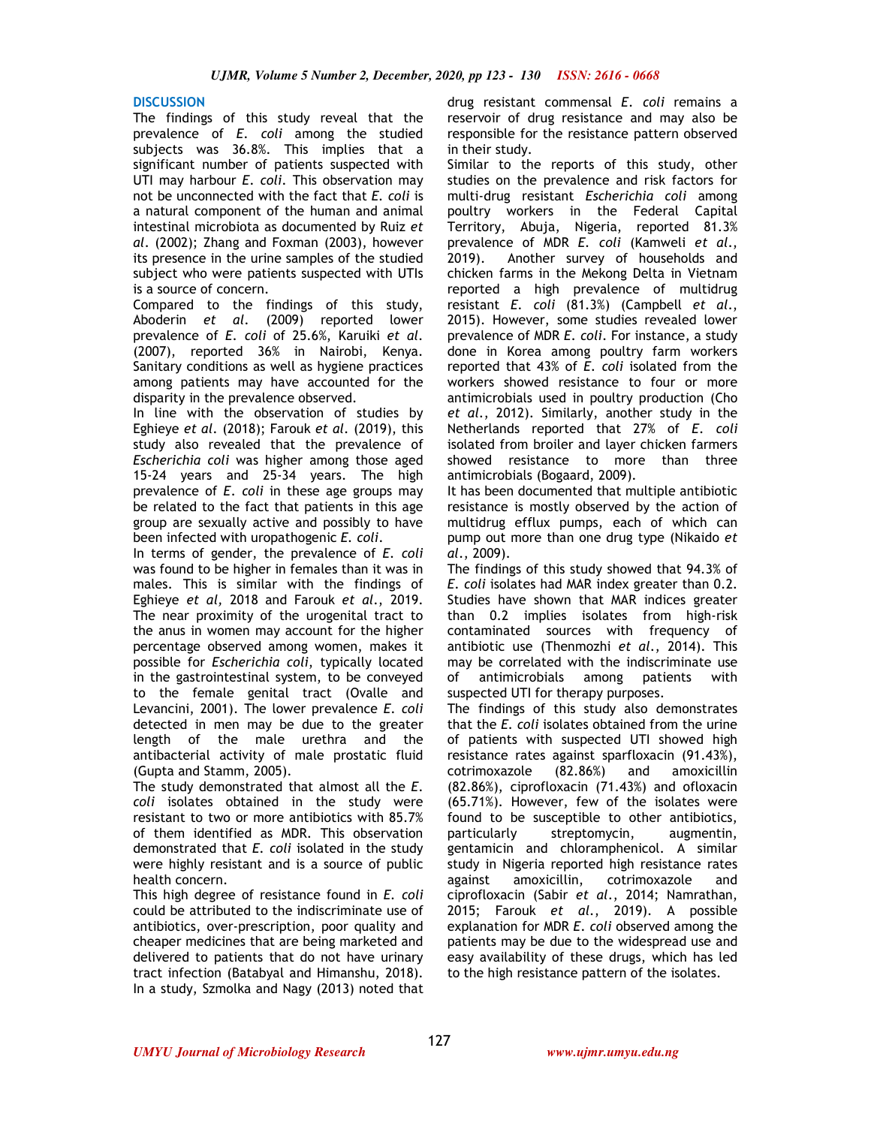# **DISCUSSION**

The findings of this study reveal that the prevalence of *E*. *coli* among the studied subjects was 36.8%. This implies that a significant number of patients suspected with UTI may harbour *E*. *coli*. This observation may not be unconnected with the fact that *E. coli* is a natural component of the human and animal intestinal microbiota as documented by Ruiz *et al*. (2002); Zhang and Foxman (2003), however its presence in the urine samples of the studied subject who were patients suspected with UTIs is a source of concern.

Compared to the findings of this study, Aboderin *et al*. (2009) reported lower prevalence of *E. coli* of 25.6%, Karuiki *et al*. (2007), reported 36% in Nairobi, Kenya. Sanitary conditions as well as hygiene practices among patients may have accounted for the disparity in the prevalence observed.

In line with the observation of studies by Eghieye *et al*. (2018); Farouk *et al*. (2019), this study also revealed that the prevalence of *Escherichia coli* was higher among those aged 15-24 years and 25-34 years. The high prevalence of *E*. *coli* in these age groups may be related to the fact that patients in this age group are sexually active and possibly to have been infected with uropathogenic *E. coli*.

In terms of gender, the prevalence of *E. coli* was found to be higher in females than it was in males. This is similar with the findings of Eghieye *et al,* 2018 and Farouk *et al*., 2019. The near proximity of the urogenital tract to the anus in women may account for the higher percentage observed among women, makes it possible for *Escherichia coli*, typically located in the gastrointestinal system, to be conveyed to the female genital tract (Ovalle and Levancini, 2001). The lower prevalence *E*. *coli* detected in men may be due to the greater length of the male urethra and the antibacterial activity of male prostatic fluid (Gupta and Stamm, 2005).

The study demonstrated that almost all the *E*. *coli* isolates obtained in the study were resistant to two or more antibiotics with 85.7% of them identified as MDR. This observation demonstrated that *E*. *coli* isolated in the study were highly resistant and is a source of public health concern.

This high degree of resistance found in *E. coli* could be attributed to the indiscriminate use of antibiotics, over-prescription, poor quality and cheaper medicines that are being marketed and delivered to patients that do not have urinary tract infection (Batabyal and Himanshu, 2018). In a study, Szmolka and Nagy (2013) noted that drug resistant commensal *E*. *coli* remains a reservoir of drug resistance and may also be responsible for the resistance pattern observed in their study.

Similar to the reports of this study, other studies on the prevalence and risk factors for multi-drug resistant *Escherichia coli* among poultry workers in the Federal Capital Territory, Abuja, Nigeria, reported 81.3% prevalence of MDR *E. coli* (Kamweli *et al*., 2019). Another survey of households and chicken farms in the Mekong Delta in Vietnam reported a high prevalence of multidrug resistant *E*. *coli* (81.3%) (Campbell *et al*., 2015). However, some studies revealed lower prevalence of MDR *E*. *coli*. For instance, a study done in Korea among poultry farm workers reported that 43% of *E*. *coli* isolated from the workers showed resistance to four or more antimicrobials used in poultry production (Cho *et al*., 2012). Similarly, another study in the Netherlands reported that 27% of *E*. *coli*  isolated from broiler and layer chicken farmers showed resistance to more than three antimicrobials (Bogaard, 2009).

It has been documented that multiple antibiotic resistance is mostly observed by the action of multidrug efflux pumps, each of which can pump out more than one drug type (Nikaido *et al*., 2009).

The findings of this study showed that 94.3% of *E*. *coli* isolates had MAR index greater than 0.2. Studies have shown that MAR indices greater than 0.2 implies isolates from high-risk contaminated sources with frequency of antibiotic use (Thenmozhi *et al*., 2014). This may be correlated with the indiscriminate use of antimicrobials among patients with suspected UTI for therapy purposes.

The findings of this study also demonstrates that the *E*. *coli* isolates obtained from the urine of patients with suspected UTI showed high resistance rates against sparfloxacin (91.43%), cotrimoxazole (82.86%) and amoxicillin (82.86%), ciprofloxacin (71.43%) and ofloxacin (65.71%). However, few of the isolates were found to be susceptible to other antibiotics, particularly streptomycin, augmentin, gentamicin and chloramphenicol. A similar study in Nigeria reported high resistance rates against amoxicillin, cotrimoxazole and ciprofloxacin (Sabir *et al*., 2014; Namrathan, 2015; Farouk *et al*., 2019). A possible explanation for MDR *E*. *coli* observed among the patients may be due to the widespread use and easy availability of these drugs, which has led to the high resistance pattern of the isolates.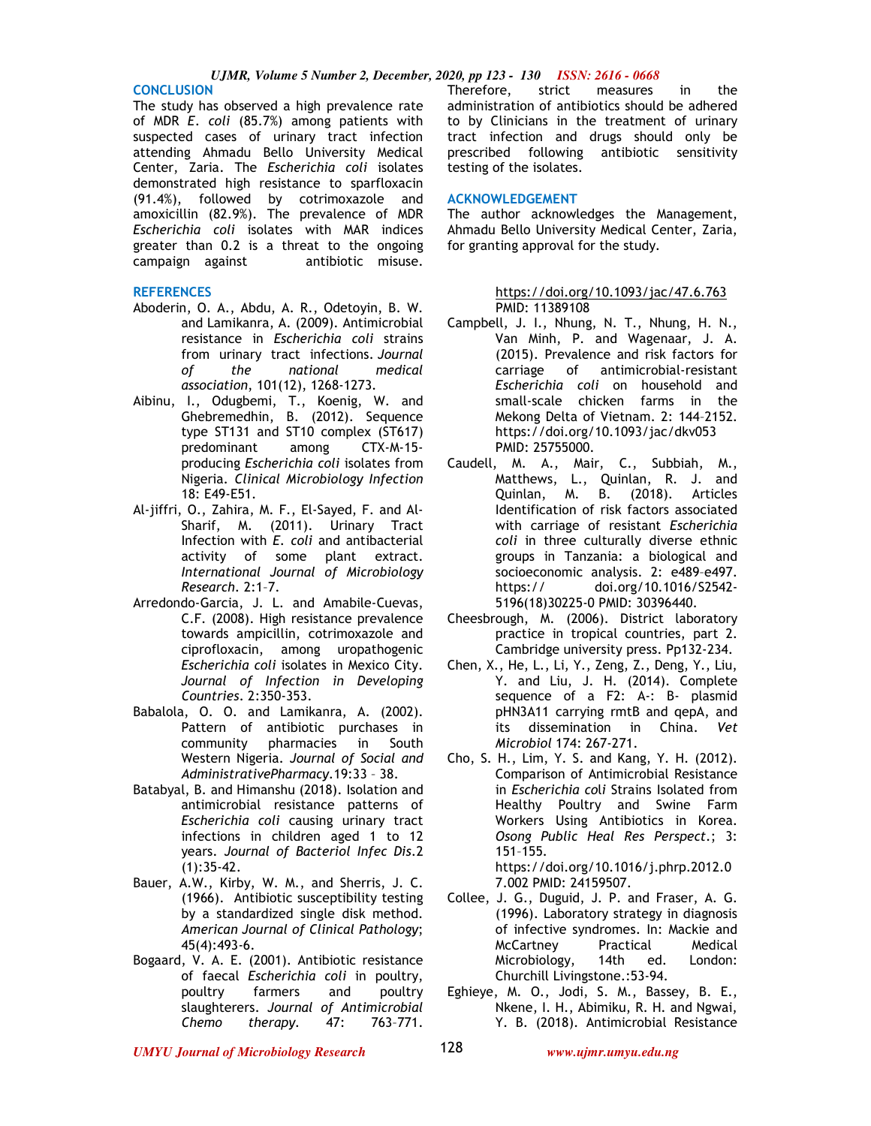**CONCLUSION**  The study has observed a high prevalence rate of MDR *E*. *coli* (85.7%) among patients with suspected cases of urinary tract infection attending Ahmadu Bello University Medical Center, Zaria. The *Escherichia coli* isolates demonstrated high resistance to sparfloxacin (91.4%), followed by cotrimoxazole and amoxicillin (82.9%). The prevalence of MDR *Escherichia coli* isolates with MAR indices greater than 0.2 is a threat to the ongoing<br>campaign against antibiotic misuse. campaign against

#### **REFERENCES**

- Aboderin, O. A., Abdu, A. R., Odetoyin, B. W. and Lamikanra, A. (2009). Antimicrobial resistance in *Escherichia coli* strains from urinary tract infections. *Journal of the national medical association*, 101(12), 1268-1273.
- Aibinu, I., Odugbemi, T., Koenig, W. and Ghebremedhin, B. (2012). Sequence type ST131 and ST10 complex (ST617) predominant among CTX-M-15 producing *Escherichia coli* isolates from Nigeria. *Clinical Microbiology Infection* 18: E49-E51.
- Al-jiffri, O., Zahira, M. F., El-Sayed, F. and Al-Sharif, M. (2011). Urinary Tract Infection with *E. coli* and antibacterial activity of some plant extract. *International Journal of Microbiology Research*. 2:1–7.
- Arredondo-Garcia, J. L. and Amabile-Cuevas, C.F. (2008). High resistance prevalence towards ampicillin, cotrimoxazole and ciprofloxacin, among uropathogenic *Escherichia coli* isolates in Mexico City. *Journal of Infection in Developing Countries*. 2:350-353.
- Babalola, O. O. and Lamikanra, A. (2002). Pattern of antibiotic purchases in community pharmacies in South Western Nigeria. *Journal of Social and AdministrativePharmacy*.19:33 – 38.
- Batabyal, B. and Himanshu (2018). Isolation and antimicrobial resistance patterns of *Escherichia coli* causing urinary tract infections in children aged 1 to 12 years. *Journal of Bacteriol Infec Dis*.2 (1):35-42.
- Bauer, A.W., Kirby, W. M., and Sherris, J. C. (1966). Antibiotic susceptibility testing by a standardized single disk method. *American Journal of Clinical Pathology*; 45(4):493-6.
- Bogaard, V. A. E. (2001). Antibiotic resistance of faecal *Escherichia coli* in poultry, poultry farmers and poultry slaughterers. *Journal of Antimicrobial Chemo therapy*. 47: 763–771.

Therefore, strict measures in the administration of antibiotics should be adhered to by Clinicians in the treatment of urinary tract infection and drugs should only be prescribed following antibiotic sensitivity testing of the isolates.

#### **ACKNOWLEDGEMENT**

The author acknowledges the Management, Ahmadu Bello University Medical Center, Zaria, for granting approval for the study.

#### https://doi.org/10.1093/jac/47.6.763 PMID: 11389108

- Campbell, J. I., Nhung, N. T., Nhung, H. N., Van Minh, P. and Wagenaar, J. A. (2015). Prevalence and risk factors for carriage of antimicrobial-resistant *Escherichia coli* on household and small-scale chicken farms in the Mekong Delta of Vietnam. 2: 144–2152. https://doi.org/10.1093/jac/dkv053 PMID: 25755000.
- Caudell, M. A., Mair, C., Subbiah, M., Matthews, L., Quinlan, R. J. and Quinlan, M. B. (2018). Articles Identification of risk factors associated with carriage of resistant *Escherichia coli* in three culturally diverse ethnic groups in Tanzania: a biological and socioeconomic analysis. 2: e489–e497. https:// doi.org/10.1016/S2542- 5196(18)30225-0 PMID: 30396440.
- Cheesbrough, M. (2006). District laboratory practice in tropical countries, part 2. Cambridge university press. Pp132-234.
- Chen, X., He, L., Li, Y., Zeng, Z., Deng, Y., Liu, Y. and Liu, J. H. (2014). Complete sequence of a F2: A-: B- plasmid pHN3A11 carrying rmtB and qepA, and its dissemination in China. *Vet Microbiol* 174: 267-271.
- Cho, S. H., Lim, Y. S. and Kang, Y. H. (2012). Comparison of Antimicrobial Resistance in *Escherichia co*l*i* Strains Isolated from Healthy Poultry and Swine Farm Workers Using Antibiotics in Korea. *Osong Public Heal Res Perspect*.; 3: 151–155.

https://doi.org/10.1016/j.phrp.2012.0 7.002 PMID: 24159507.

- Collee, J. G., Duguid, J. P. and Fraser, A. G. (1996). Laboratory strategy in diagnosis of infective syndromes. In: Mackie and McCartney Practical Medical Microbiology, 14th ed. London: Churchill Livingstone.:53-94.
- Eghieye, M. O., Jodi, S. M., Bassey, B. E., Nkene, I. H., Abimiku, R. H. and Ngwai, Y. B. (2018). Antimicrobial Resistance

*UMYU Journal of Microbiology Research www.ujmr.umyu.edu.ng*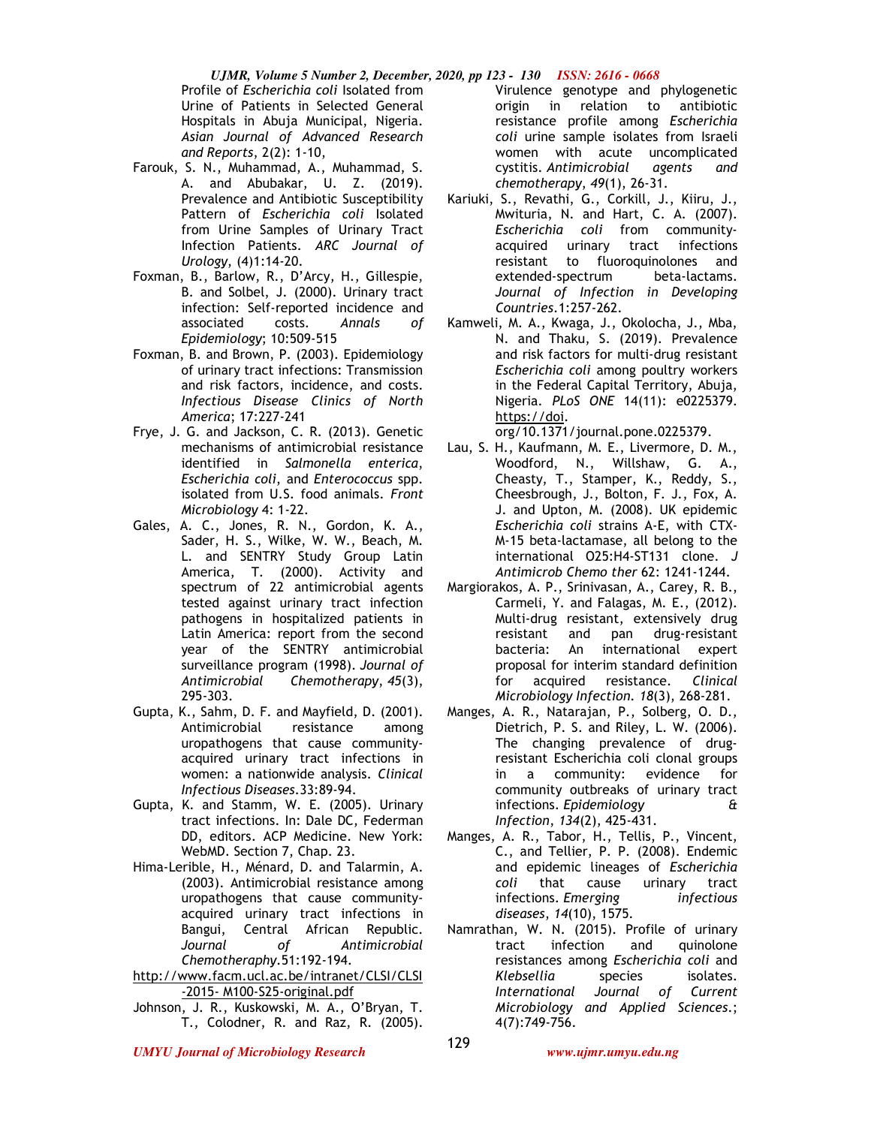*UJMR, Volume 5 Number 2, December, 2020, pp 123 - 130 ISSN: 2616 - 0668* Profile of *Escherichia coli* Isolated from Urine of Patients in Selected General Hospitals in Abuja Municipal, Nigeria. *Asian Journal of Advanced Research and Reports*, 2(2): 1-10,

- Farouk, S. N., Muhammad, A., Muhammad, S. A. and Abubakar, U. Z. (2019). Prevalence and Antibiotic Susceptibility Pattern of *Escherichia coli* Isolated from Urine Samples of Urinary Tract Infection Patients. *ARC Journal of Urology*, (4)1:14-20.
- Foxman, B., Barlow, R., D'Arcy, H., Gillespie, B. and Solbel, J. (2000). Urinary tract infection: Self-reported incidence and associated costs. *Annals of Epidemiology*; 10:509-515
- Foxman, B. and Brown, P. (2003). Epidemiology of urinary tract infections: Transmission and risk factors, incidence, and costs. *Infectious Disease Clinics of North America*; 17:227-241
- Frye, J. G. and Jackson, C. R. (2013). Genetic mechanisms of antimicrobial resistance identified in *Salmonella enterica*, *Escherichia coli*, and *Enterococcus* spp. isolated from U.S. food animals. *Front Microbiology* 4: 1-22.
- Gales, A. C., Jones, R. N., Gordon, K. A., Sader, H. S., Wilke, W. W., Beach, M. L. and SENTRY Study Group Latin America, T. (2000). Activity and spectrum of 22 antimicrobial agents tested against urinary tract infection pathogens in hospitalized patients in Latin America: report from the second year of the SENTRY antimicrobial surveillance program (1998). *Journal of Antimicrobial Chemotherapy*, *45*(3), 295-303.
- Gupta, K., Sahm, D. F. and Mayfield, D. (2001). Antimicrobial resistance among uropathogens that cause communityacquired urinary tract infections in women: a nationwide analysis. *Clinical Infectious Diseases*.33:89-94.
- Gupta, K. and Stamm, W. E. (2005). Urinary tract infections. In: Dale DC, Federman DD, editors. ACP Medicine. New York: WebMD. Section 7, Chap. 23.
- Hima-Lerible, H., Ménard, D. and Talarmin, A. (2003). Antimicrobial resistance among uropathogens that cause communityacquired urinary tract infections in Bangui, Central African Republic. *Journal of Antimicrobial Chemotheraphy*.51:192-194.
- http://www.facm.ucl.ac.be/intranet/CLSI/CLSI -2015- M100-S25-original.pdf
- Johnson, J. R., Kuskowski, M. A., O'Bryan, T. T., Colodner, R. and Raz, R. (2005).

Virulence genotype and phylogenetic origin in relation to antibiotic resistance profile among *Escherichia coli* urine sample isolates from Israeli women with acute uncomplicated cystitis. *Antimicrobial agents and chemotherapy*, *49*(1), 26-31.

- Kariuki, S., Revathi, G., Corkill, J., Kiiru, J., Mwituria, N. and Hart, C. A. (2007). *Escherichia coli* from communityacquired urinary tract infections resistant to fluoroquinolones and extended-spectrum beta-lactams. *Journal of Infection in Developing Countries*.1:257-262.
- Kamweli, M. A., Kwaga, J., Okolocha, J., Mba, N. and Thaku, S. (2019). Prevalence and risk factors for multi-drug resistant *Escherichia coli* among poultry workers in the Federal Capital Territory, Abuja, Nigeria. *PLoS ONE* 14(11): e0225379. https://doi.

org/10.1371/journal.pone.0225379.

- Lau, S. H., Kaufmann, M. E., Livermore, D. M., Woodford, N., Willshaw, G. A., Cheasty, T., Stamper, K., Reddy, S., Cheesbrough, J., Bolton, F. J., Fox, A. J. and Upton, M. (2008). UK epidemic *Escherichia coli* strains A-E, with CTX-M-15 beta-lactamase, all belong to the international O25:H4-ST131 clone. *J Antimicrob Chemo ther* 62: 1241-1244.
- Margiorakos, A. P., Srinivasan, A., Carey, R. B., Carmeli, Y. and Falagas, M. E., (2012). Multi-drug resistant, extensively drug resistant and pan drug-resistant bacteria: An international expert proposal for interim standard definition for acquired resistance. *Clinical Microbiology Infection. 18*(3), 268-281.
- Manges, A. R., Natarajan, P., Solberg, O. D., Dietrich, P. S. and Riley, L. W. (2006). The changing prevalence of drugresistant Escherichia coli clonal groups in a community: evidence for community outbreaks of urinary tract infections. *Epidemiology & Infection*, *134*(2), 425-431.
- Manges, A. R., Tabor, H., Tellis, P., Vincent, C., and Tellier, P. P. (2008). Endemic and epidemic lineages of *Escherichia coli* that cause urinary tract infections. *Emerging infectious diseases*, *14*(10), 1575.
- Namrathan, W. N. (2015). Profile of urinary tract infection and quinolone resistances among *Escherichia coli* and *Klebsellia* species isolates. *International Journal of Current Microbiology and Applied Sciences*.; 4(7):749-756.